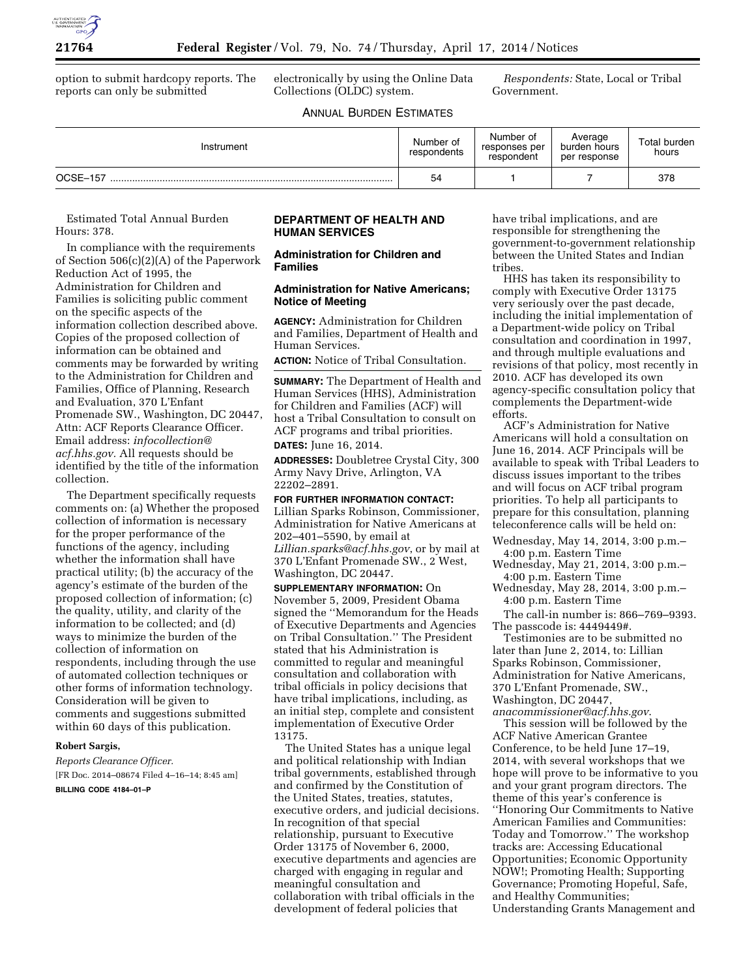

option to submit hardcopy reports. The reports can only be submitted

electronically by using the Online Data Collections (OLDC) system.

*Respondents:* State, Local or Tribal Government.

# ANNUAL BURDEN ESTIMATES

| Instrument | Number of<br>respondents | Number of<br>responses per<br>respondent | Average<br>burden hours<br>per response | Total burden<br>hours |
|------------|--------------------------|------------------------------------------|-----------------------------------------|-----------------------|
| OCSE-157   | 54                       |                                          |                                         | 378                   |

Estimated Total Annual Burden Hours: 378.

In compliance with the requirements of Section 506(c)(2)(A) of the Paperwork Reduction Act of 1995, the Administration for Children and Families is soliciting public comment on the specific aspects of the information collection described above. Copies of the proposed collection of information can be obtained and comments may be forwarded by writing to the Administration for Children and Families, Office of Planning, Research and Evaluation, 370 L'Enfant Promenade SW., Washington, DC 20447, Attn: ACF Reports Clearance Officer. Email address: *[infocollection@](mailto:infocollection@acf.hhs.gov) [acf.hhs.gov.](mailto:infocollection@acf.hhs.gov)* All requests should be identified by the title of the information collection.

The Department specifically requests comments on: (a) Whether the proposed collection of information is necessary for the proper performance of the functions of the agency, including whether the information shall have practical utility; (b) the accuracy of the agency's estimate of the burden of the proposed collection of information; (c) the quality, utility, and clarity of the information to be collected; and (d) ways to minimize the burden of the collection of information on respondents, including through the use of automated collection techniques or other forms of information technology. Consideration will be given to comments and suggestions submitted within 60 days of this publication.

## **Robert Sargis,**

*Reports Clearance Officer.*  [FR Doc. 2014–08674 Filed 4–16–14; 8:45 am] **BILLING CODE 4184–01–P** 

## **DEPARTMENT OF HEALTH AND HUMAN SERVICES**

### **Administration for Children and Families**

#### **Administration for Native Americans; Notice of Meeting**

**AGENCY:** Administration for Children and Families, Department of Health and Human Services.

**ACTION:** Notice of Tribal Consultation.

**SUMMARY:** The Department of Health and Human Services (HHS), Administration for Children and Families (ACF) will host a Tribal Consultation to consult on ACF programs and tribal priorities.

**DATES:** June 16, 2014.

**ADDRESSES:** Doubletree Crystal City, 300 Army Navy Drive, Arlington, VA 22202–2891.

**FOR FURTHER INFORMATION CONTACT:**  Lillian Sparks Robinson, Commissioner, Administration for Native Americans at 202–401–5590, by email at *[Lillian.sparks@acf.hhs.gov](mailto:Lillian.sparks@acf.hhs.gov)*, or by mail at 370 L'Enfant Promenade SW., 2 West, Washington, DC 20447.

**SUPPLEMENTARY INFORMATION:** On November 5, 2009, President Obama signed the ''Memorandum for the Heads of Executive Departments and Agencies on Tribal Consultation.'' The President stated that his Administration is committed to regular and meaningful consultation and collaboration with tribal officials in policy decisions that have tribal implications, including, as an initial step, complete and consistent implementation of Executive Order 13175.

The United States has a unique legal and political relationship with Indian tribal governments, established through and confirmed by the Constitution of the United States, treaties, statutes, executive orders, and judicial decisions. In recognition of that special relationship, pursuant to Executive Order 13175 of November 6, 2000, executive departments and agencies are charged with engaging in regular and meaningful consultation and collaboration with tribal officials in the development of federal policies that

have tribal implications, and are responsible for strengthening the government-to-government relationship between the United States and Indian tribes.

HHS has taken its responsibility to comply with Executive Order 13175 very seriously over the past decade, including the initial implementation of a Department-wide policy on Tribal consultation and coordination in 1997, and through multiple evaluations and revisions of that policy, most recently in 2010. ACF has developed its own agency-specific consultation policy that complements the Department-wide efforts.

ACF's Administration for Native Americans will hold a consultation on June 16, 2014. ACF Principals will be available to speak with Tribal Leaders to discuss issues important to the tribes and will focus on ACF tribal program priorities. To help all participants to prepare for this consultation, planning teleconference calls will be held on:

- Wednesday, May 14, 2014, 3:00 p.m.– 4:00 p.m. Eastern Time
- Wednesday, May 21, 2014, 3:00 p.m.– 4:00 p.m. Eastern Time
- Wednesday, May 28, 2014, 3:00 p.m.– 4:00 p.m. Eastern Time

The call-in number is: 866–769–9393. The passcode is: 4449449#.

Testimonies are to be submitted no later than June 2, 2014, to: Lillian Sparks Robinson, Commissioner, Administration for Native Americans, 370 L'Enfant Promenade, SW., Washington, DC 20447, *[anacommissioner@acf.hhs.gov](mailto:anacommissioner@acf.hhs.gov)*.

This session will be followed by the ACF Native American Grantee Conference, to be held June 17–19, 2014, with several workshops that we hope will prove to be informative to you and your grant program directors. The theme of this year's conference is ''Honoring Our Commitments to Native American Families and Communities: Today and Tomorrow.'' The workshop tracks are: Accessing Educational Opportunities; Economic Opportunity NOW!; Promoting Health; Supporting Governance; Promoting Hopeful, Safe, and Healthy Communities; Understanding Grants Management and